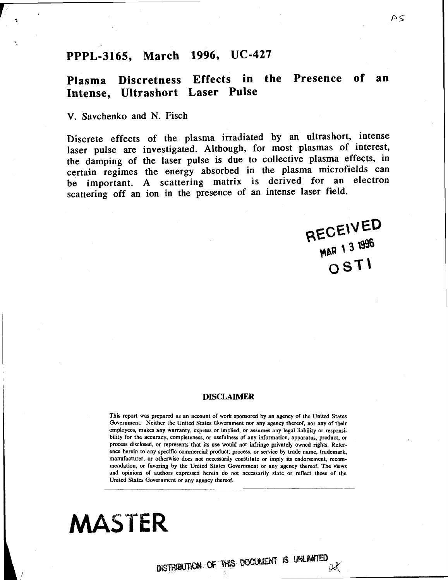### **PPPL-3165, March 1996, UC-427**

## **Plasma Discretness Effects in the Presence of an Intense, Ultrashort Laser Pulse**

#### V. Savchenko and N. Fisch

Discrete effects of the plasma irradiated by an ultrashort, intense laser pulse are investigated. Although, for most plasmas of interest, the damping of the laser pulse is due to collective plasma effects, in certain regimes the energy absorbed in the plasma microfields can be important. A scattering matrix is derived for an electron scattering off an ion in the presence of an intense laser field.

> RECEIVED MAR 1 3 1996

#### **DISCLAIMER**

This report was prepared as an account of work sponsored by an agency of the United States Government. Neither the United States Government nor any agency thereof, nor any of their employees, makes any warranty, express or implied, or assumes any legal liability or responsibility for the accuracy, completeness, or usefulness of any information, apparatus, product, or process disclosed, or represents that its use would not infringe privately owned rights. Reference herein to any specific commercial product, process, or service by trade name, trademark, manufacturer, or otherwise does not necessarily constitute or imply its endorsement, recommendation, or favoring by the United States Government or any agency thereof. The views and opinions of authors expressed herein do not necessarily state or reflect those of the United States Government or any agency thereof.

# MASTER

DISTRIBUTION OF THIS DOCUMENT IS UNLIMITED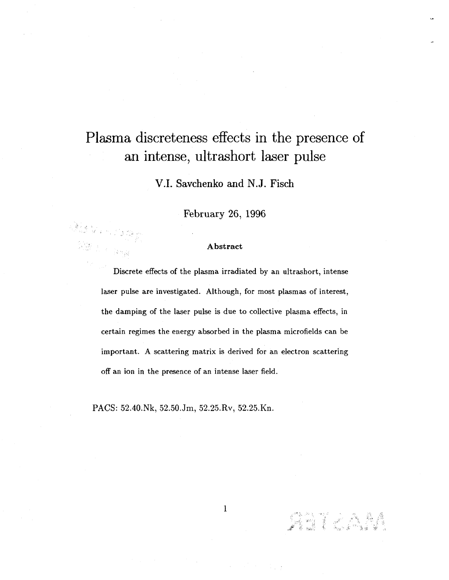# Plasma discreteness effects in the presence of an intense, ultrashort laser pulse

V.I. Savchenko and N.J. Fisch

February 26, 1996

#### **Abstract**

Discrete effects of the plasma irradiated by an ultrashort, intense laser pulse are investigated. Although, for most plasmas of interest, the damping of the laser pulse is due to collective plasma effects, in certain regimes the energy absorbed in the plasma microfields can be important. A scattering matrix is derived for an electron scattering off an ion in the presence of an intense laser field.

PACS: 52.40.Nk, 52.50.Jm, 52.25.Rv, 52.25.Kn.

Reserva

1

many ya Katika<br>Katika Kasa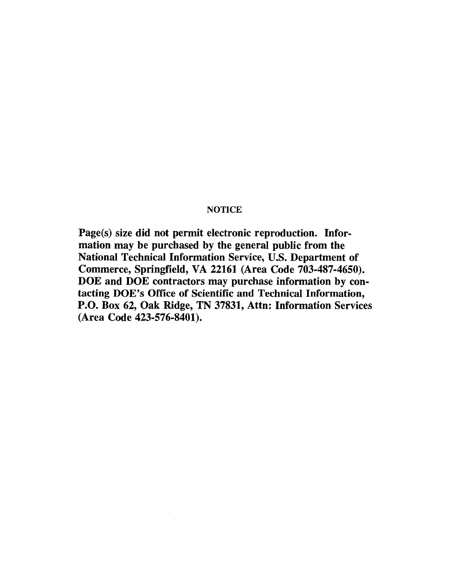#### **NOTICE**

Page(s) size did not permit electronic reproduction. Information may be purchased by the general public from the National Technical Information Service, U.S. Department of Commerce, Springfield, VA 22161 (Area Code 703-487-4650). DOE and DOE contractors may purchase information by contacting DOE's Office of Scientific and Technical Information, P.O. Box 62, Oak Ridge, TN 37831, Attn: Information Services (Area Code 423-576-8401).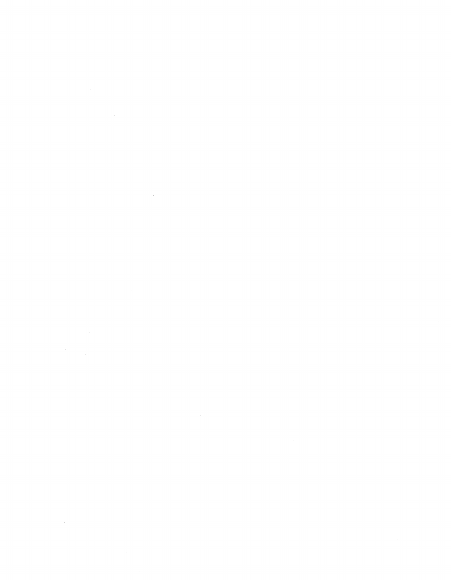$\label{eq:2.1} \frac{1}{\sqrt{2}}\int_{0}^{\infty}\frac{1}{\sqrt{2\pi}}\left(\frac{1}{\sqrt{2\pi}}\right)^{2\alpha} \frac{1}{\sqrt{2\pi}}\int_{0}^{\infty}\frac{1}{\sqrt{2\pi}}\left(\frac{1}{\sqrt{2\pi}}\right)^{\alpha} \frac{1}{\sqrt{2\pi}}\frac{1}{\sqrt{2\pi}}\int_{0}^{\infty}\frac{1}{\sqrt{2\pi}}\frac{1}{\sqrt{2\pi}}\frac{1}{\sqrt{2\pi}}\frac{1}{\sqrt{2\pi}}\frac{1}{\sqrt{2\pi}}\frac{1}{\sqrt{2\pi}}$ 

 $\label{eq:2.1} \mathcal{L}_{\text{max}}(\mathcal{L}_{\text{max}}) = \mathcal{L}_{\text{max}}(\mathcal{L}_{\text{max}})$ 

 $\label{eq:2.1} \frac{1}{\sqrt{2}}\int_{0}^{\infty}\frac{1}{\sqrt{2\pi}}\left(\frac{1}{\sqrt{2\pi}}\right)^{2\alpha} \frac{1}{\sqrt{2\pi}}\int_{0}^{\infty}\frac{1}{\sqrt{2\pi}}\left(\frac{1}{\sqrt{2\pi}}\right)^{\alpha} \frac{1}{\sqrt{2\pi}}\frac{1}{\sqrt{2\pi}}\int_{0}^{\infty}\frac{1}{\sqrt{2\pi}}\frac{1}{\sqrt{2\pi}}\frac{1}{\sqrt{2\pi}}\frac{1}{\sqrt{2\pi}}\frac{1}{\sqrt{2\pi}}\frac{1}{\sqrt{2\pi}}$ 

 $\label{eq:2.1} \frac{1}{\sqrt{2}}\left(\frac{1}{\sqrt{2}}\right)^{2} \left(\frac{1}{\sqrt{2}}\right)^{2} \left(\frac{1}{\sqrt{2}}\right)^{2} \left(\frac{1}{\sqrt{2}}\right)^{2} \left(\frac{1}{\sqrt{2}}\right)^{2} \left(\frac{1}{\sqrt{2}}\right)^{2} \left(\frac{1}{\sqrt{2}}\right)^{2} \left(\frac{1}{\sqrt{2}}\right)^{2} \left(\frac{1}{\sqrt{2}}\right)^{2} \left(\frac{1}{\sqrt{2}}\right)^{2} \left(\frac{1}{\sqrt{2}}\right)^{2} \left(\$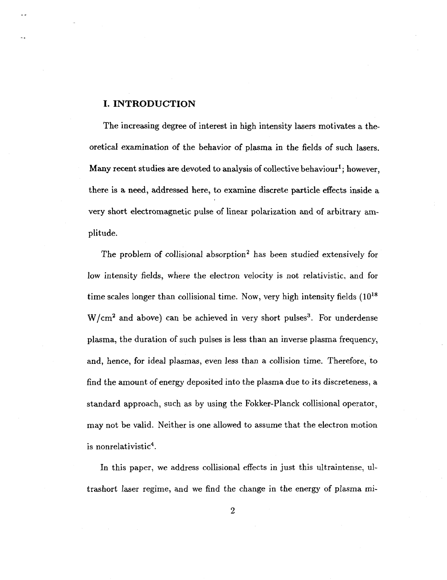#### I. INTRODUCTION

The increasing degree of interest in high intensity lasers motivates a theoretical examination of the behavior of plasma in the fields of such lasers. Many recent studies are devoted to analysis of collective behaviour<sup>1</sup>; however, there is a need, addressed here, to examine discrete particle effects inside a very short electromagnetic pulse of linear polarization and of arbitrary amplitude.

The problem of collisional absorption<sup>2</sup> has been studied extensively for low intensity fields, where the electron velocity is not relativistic, and for time scales longer than collisional time. Now, very high intensity fields  $(10^{18}$  $W/cm<sup>2</sup>$  and above) can be achieved in very short pulses<sup>3</sup>. For underdense plasma, the duration of such pulses is less than an inverse plasma frequency, and, hence, for ideal plasmas, even less than a collision time. Therefore, to find the amount of energy deposited into the plasma due to its discreteness, a standard approach, such as by using the Fokker-Planck collisional operator, may not be valid. Neither is one allowed to assume that the electron motion is nonrelativistic<sup>4</sup> .

In this paper, we address collisional effects in just this ultraintense, ultrashort laser regime, and we find the change in the energy of plasma mi-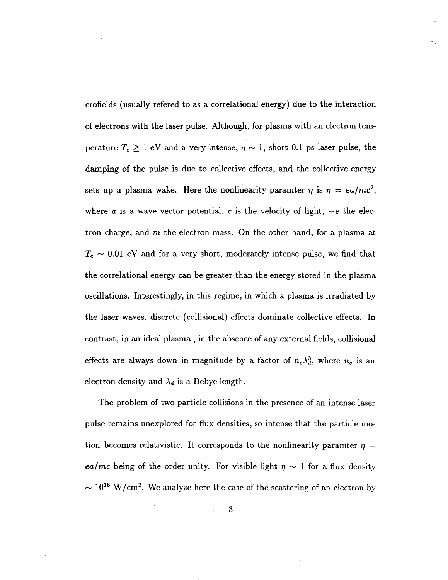crofields (usually refered to as a correlational energy) due to the interaction of electrons with the laser pulse. Although, for plasma with an electron temperature  $T_e \geq 1$  eV and a very intense,  $\eta \sim 1$ , short 0.1 ps laser pulse, the damping of the pulse is due to collective effects, and the collective energy sets up a plasma wake. Here the nonlinearity paramter  $\eta$  is  $\eta = ea/mc^2$ , where  $a$  is a wave vector potential,  $c$  is the velocity of light,  $-e$  the electron charge, and  $m$  the electron mass. On the other hand, for a plasma at  $T_e \sim 0.01$  eV and for a very short, moderately intense pulse, we find that the correlational energy can be greater than the energy stored in the plasma oscillations. Interestingly, in this regime, in which a plasma is irradiated by the laser waves, discrete (collisional) effects dominate collective effects. In contrast, in an ideal plasma , in the absence of any external fields, collisional effects are always down in magnitude by a factor of  $n_e\lambda_1^3$ , where  $n_e$  is an electron density and  $\lambda_d$  is a Debye length.

The problem of two particle collisions in the presence of an intense laser pulse remains unexplored for flux densities, so intense that the particle motion becomes relativistic. It corresponds to the nonlinearity paramter  $\eta =$ *ea/mc* being of the order unity. For visible light  $\eta \sim 1$  for a flux density  $\sim 10^{18}$  W/cm<sup>2</sup>. We analyze here the case of the scattering of an electron by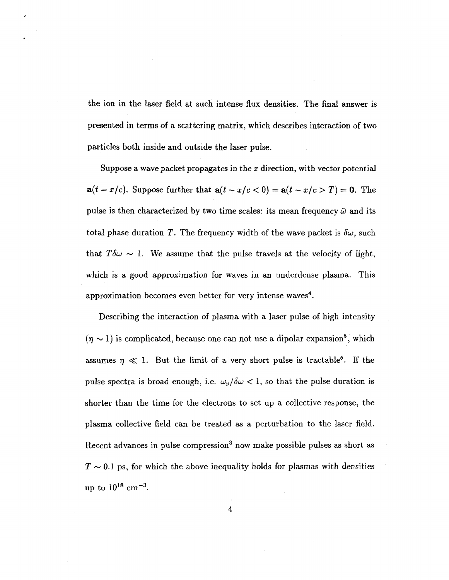the ion in the laser field at such intense flux densities. The final answer is presented in terms of a scattering matrix, which describes interaction of two particles both inside and outside the laser pulse.

Suppose a wave packet propagates in the *x* direction, with vector potential  $a(t - x/c)$ . Suppose further that  $a(t - x/c < 0) = a(t - x/c > T) = 0$ . The pulse is then characterized by two time scales: its mean frequency  $\bar{\omega}$  and its total phase duration T. The frequency width of the wave packet is  $\delta\omega$ , such that  $T\delta\omega \sim 1$ . We assume that the pulse travels at the velocity of light, which is a good approximation for waves in an underdense plasma. This approximation becomes even better for very intense waves<sup>4</sup>.

Describing the interaction of plasma with a laser pulse of high intensity  $(n \sim 1)$  is complicated, because one can not use a dipolar expansion<sup>5</sup>, which assumes  $\eta \ll 1$ . But the limit of a very short pulse is tractable<sup>5</sup>. If the pulse spectra is broad enough, i.e.  $\omega_p/\delta\omega < 1$ , so that the pulse duration is shorter than the time for the electrons to set up a collective response, the plasma collective field can be treated as a perturbation to the laser field. Recent advances in pulse compression<sup>3</sup> now make possible pulses as short as  $T \sim 0.1$  ps, for which the above inequality holds for plasmas with densities up to  $10^{18}$  cm<sup>-3</sup>.

4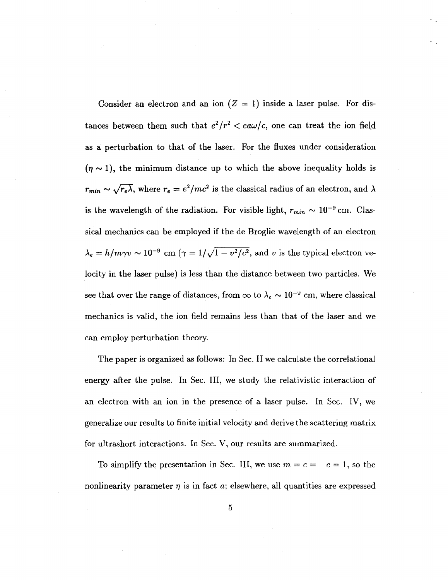Consider an electron and an ion  $(Z = 1)$  inside a laser pulse. For distances between them such that  $e^2/r^2 < e^2/\sqrt{C}$ , one can treat the ion field as a perturbation to that of the laser. For the fluxes under consideration  $(\eta \sim 1)$ , the minimum distance up to which the above inequality holds is  $r_{min} \sim \sqrt{r_e} \lambda$ , where  $r_e = e^2/mc^2$  is the classical radius of an electron, and  $\lambda$ is the wavelength of the radiation. For visible light,  $r_{min} \sim 10^{-9}$  cm. Clasvelength of an electro:  $\lambda_e = h/m\gamma v \sim 10^{-9}$  cm  $(\gamma = 1/\sqrt{1 - v^2/c^2})$ , and v is the typical electron velocity in the laser pulse) is less than the distance between two particles. We see that over the range of distances, from  $\infty$  to  $\lambda_e \sim 10^{-9}$  cm, where classical mechanics is valid, the ion field remains less than that of the laser and we can employ perturbation theory.

The paper is organized as follows: In Sec. II we calculate the correlational energy after the pulse. In Sec. III, we study the relativistic interaction of an electron with an ion in the presence of a laser pulse. In Sec. IV, we generalize our results to finite initial velocity and derive the scattering matrix for ultrashort interactions. In Sec. V, our results are summarized.

To simplify the presentation in Sec. III, we use  $m=c=-e=1$ , so the nonlinearity parameter  $\eta$  is in fact  $\alpha$ ; elsewhere, all quantities are expressed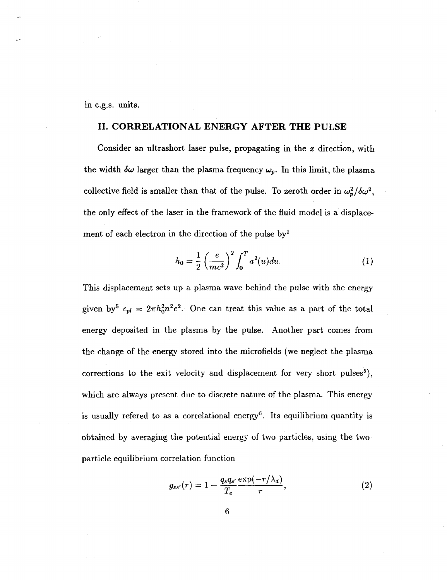in c.g.s. units.

#### **II. CORRELATIONAL ENERGY AFTER THE PULSE**

Consider an ultrashort laser pulse, propagating in the *x* direction, with the width  $\delta\omega$  larger than the plasma frequency  $\omega_p$ . In this limit, the plasma collective field is smaller than that of the pulse. To zeroth order in  $\omega_n^2/\delta\omega^2$ , the only effect of the laser in the framework of the fluid model is a displacement of each electron in the direction of the pulse  $by<sup>1</sup>$ 

$$
h_0 = \frac{1}{2} \left( \frac{e}{mc^2} \right)^2 \int_0^T a^2(u) du.
$$
 (1)

This displacement sets up a plasma wave behind the pulse with the energy given by  $\epsilon_{pl} = 2\pi h_0^2 n^2 e^2$ . One can treat this value as a part of the total energy deposited in the plasma by the pulse. Another part comes from the change of the energy stored into the microfields (we neglect the plasma corrections to the exit velocity and displacement for very short pulses<sup>5</sup>), which are always present due to discrete nature of the plasma. This energy is usually refered to as a correlational energy<sup>6</sup>. Its equilibrium quantity is obtained by averaging the potential energy of two particles, using the twoparticle equilibrium correlation function

$$
g_{ss'}(r) = 1 - \frac{q_s q_{s'}}{T_e} \frac{\exp(-r/\lambda_d)}{r}, \qquad (2)
$$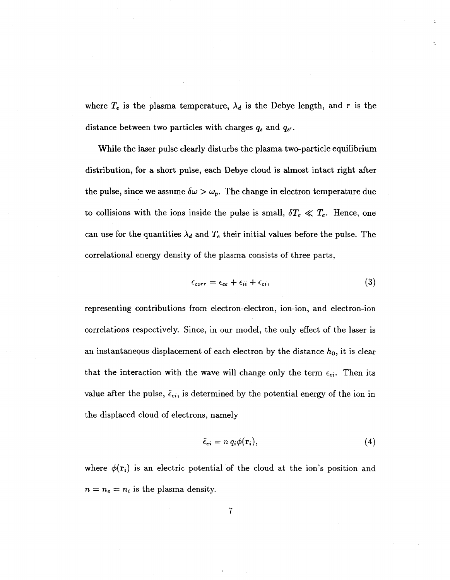where  $T_e$  is the plasma temperature,  $\lambda_d$  is the Debye length, and r is the distance between two particles with charges  $q_s$  and  $q_{s'}$ .

While the laser pulse clearly disturbs the plasma two-particle equilibrium distribution, for a short pulse, each Debye cloud is almost intact right after the pulse, since we assume  $\delta\omega > \omega_p$ . The change in electron temperature due to collisions with the ions inside the pulse is small,  $\delta T_e \ll T_e$ . Hence, one can use for the quantities  $\lambda_d$  and  $T_e$  their initial values before the pulse. The correlational energy density of the plasma consists of three parts,

$$
\epsilon_{corr} = \epsilon_{ee} + \epsilon_{ii} + \epsilon_{ei}, \tag{3}
$$

representing contributions from electron-electron, ion-ion, and electron-ion correlations respectively. Since, in our model, the only effect of the laser is an instantaneous displacement of each electron by the distance  $h_0$ , it is clear that the interaction with the wave will change only the term  $\epsilon_{ei}$ . Then its value after the pulse,  $\tilde{\epsilon}_{ei}$ , is determined by the potential energy of the ion in the displaced cloud of electrons, namely

$$
\tilde{\epsilon}_{ei} = n \, q_i \phi(\mathbf{r}_i),\tag{4}
$$

where  $\phi(\mathbf{r}_i)$  is an electric potential of the cloud at the ion's position and  $n = n_e = n_i$  is the plasma density.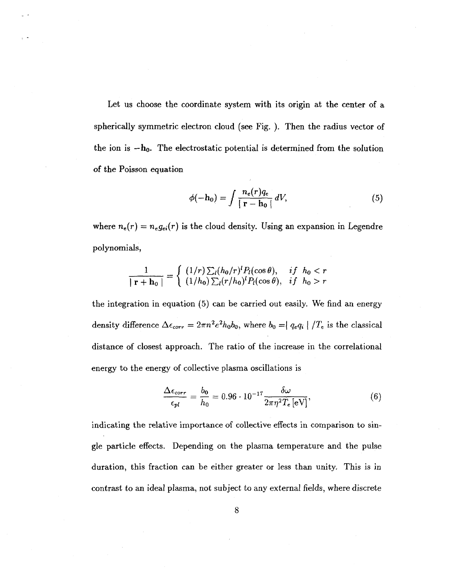Let us choose the coordinate system with its origin at the center of a spherically symmetric electron cloud (see Fig. ). Then the radius vector of the ion is  $-h_0$ . The electrostatic potential is determined from the solution of the Poisson equation

$$
\phi(-\mathbf{h}_0) = \int \frac{n_e(r)q_e}{|\mathbf{r} - \mathbf{h}_0|} dV,\tag{5}
$$

where  $n_e(r) = n_e g_{ei}(r)$  is the cloud density. Using an expansion in Legendre polynomials,

$$
\frac{1}{|\mathbf{r}+\mathbf{h}_0|} = \begin{cases} (1/r)\sum_l (h_0/r)^l P_l(\cos\theta), & if \quad h_0 < r \\ (1/h_0)\sum_l (r/h_0)^l P_l(\cos\theta), & if \quad h_0 > r \end{cases}
$$

the integration in equation (5) can be carried out easily. We find an energy density difference  $\Delta \epsilon_{corr} = 2\pi n^2 e^2 h_0 b_0$ , where  $b_0 = q_e q_i / T_e$  is the classical distance of closest approach. The ratio of the increase in the correlational energy to the energy of collective plasma oscillations is

$$
\frac{\Delta \epsilon_{corr}}{\epsilon_{pl}} = \frac{b_0}{h_0} = 0.96 \cdot 10^{-17} \frac{\delta \omega}{2\pi \eta^2 T_e \,\text{[eV]}},\tag{6}
$$

indicating the relative importance of collective effects in comparison to single particle effects. Depending on the plasma temperature and the pulse duration, this fraction can be either greater or less than unity. This is in contrast to an ideal plasma, not subject to any external fields, where discrete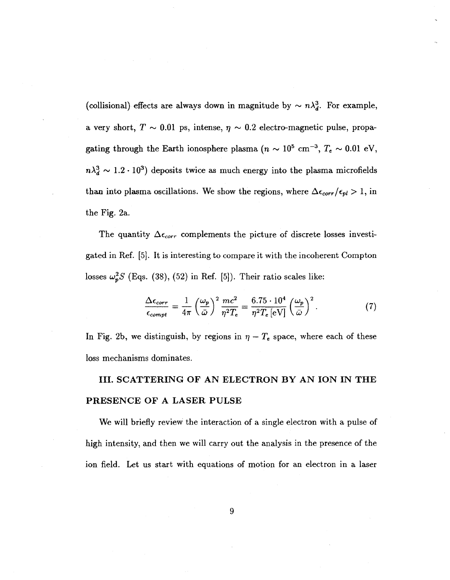(collisional) effects are always down in magnitude by  $\sim n\lambda_d^3$ . For example, a very short,  $T \sim 0.01$  ps, intense,  $\eta \sim 0.2$  electro-magnetic pulse, propagating through the Earth ionosphere plasma ( $n \sim 10^5$  cm<sup>-3</sup>,  $T_e \sim 0.01$  eV,  $n\lambda_d^3 \sim 1.2 \cdot 10^3$  deposits twice as much energy into the plasma microfields than into plasma oscillations. We show the regions, where  $\Delta \epsilon_{corr}/\epsilon_{pl} > 1$ , in the Fig. 2a.

The quantity  $\Delta \epsilon_{corr}$  complements the picture of discrete losses investigated in Ref. [5]. It is interesting to compare it with the incoherent Compton losses  $\omega_p^2 S$  (Eqs. (38), (52) in Ref. [5]). Their ratio scales like:

$$
\frac{\Delta \epsilon_{corr}}{\epsilon_{compt}} = \frac{1}{4\pi} \left(\frac{\omega_p}{\bar{\omega}}\right)^2 \frac{mc^2}{\eta^2 T_e} = \frac{6.75 \cdot 10^4}{\eta^2 T_e \,\text{[eV]}} \left(\frac{\omega_p}{\bar{\omega}}\right)^2. \tag{7}
$$

In Fig. 2b, we distinguish, by regions in  $\eta - T_e$  space, where each of these loss mechanisms dominates.

# **III. SCATTERING OF AN ELECTRON BY AN ION IN THE PRESENCE OF A LASER PULSE**

We will briefly review the interaction of a single electron with a pulse of high intensity, and then we will carry out the analysis in the presence of the ion field. Let us start with equations of motion for an electron in a laser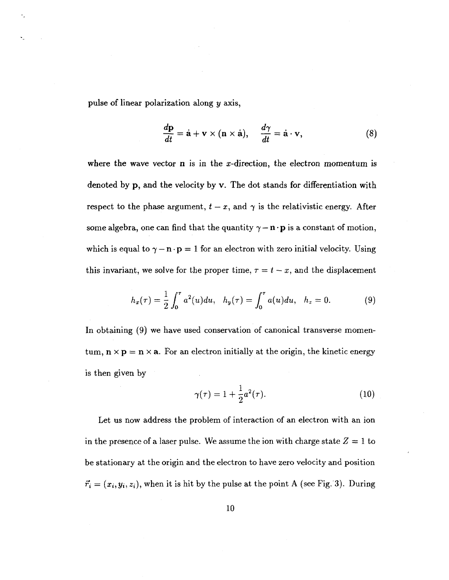pulse of linear polarization along *y* axis,

$$
\frac{d\mathbf{p}}{dt} = \dot{\mathbf{a}} + \mathbf{v} \times (\mathbf{n} \times \dot{\mathbf{a}}), \quad \frac{d\gamma}{dt} = \dot{\mathbf{a}} \cdot \mathbf{v}, \tag{8}
$$

where the wave vector  $n$  is in the  $x$ -direction, the electron momentum is denoted by p, and the velocity by v. The dot stands for differentiation with respect to the phase argument,  $t - x$ , and  $\gamma$  is the relativistic energy. After some algebra, one can find that the quantity  $\gamma - \mathbf{n} \cdot \mathbf{p}$  is a constant of motion, which is equal to  $\gamma - \mathbf{n} \cdot \mathbf{p} = 1$  for an electron with zero initial velocity. Using this invariant, we solve for the proper time,  $\tau = t - x$ , and the displacement

$$
h_x(\tau) = \frac{1}{2} \int_0^{\tau} a^2(u) du, \quad h_y(\tau) = \int_0^{\tau} a(u) du, \quad h_z = 0.
$$
 (9)

In obtaining (9) we have used conservation of canonical transverse momentum,  $n \times p = n \times a$ . For an electron initially at the origin, the kinetic energy is then given by

$$
\gamma(\tau) = 1 + \frac{1}{2}a^2(\tau). \tag{10}
$$

Let us now address the problem of interaction of an electron with an ion in the presence of a laser pulse. We assume the ion with charge state  $Z = 1$  to be stationary at the origin and the electron to have zero velocity and position  $\vec{r_i} = (x_i, y_i, z_i)$ , when it is hit by the pulse at the point A (see Fig. 3). During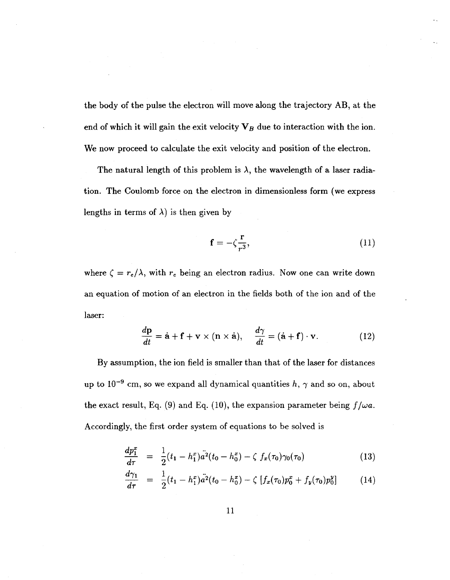the body of the pulse the electron will move along the trajectory AB, at the end of which it will gain the exit velocity  $V_B$  due to interaction with the ion. We now proceed to calculate the exit velocity and position of the electron.

The natural length of this problem is  $\lambda$ , the wavelength of a laser radiation. The Coulomb force on the electron in dimensionless form (we express lengths in terms of  $\lambda$ ) is then given by

$$
\mathbf{f} = -\zeta \frac{\mathbf{r}}{r^3},\tag{11}
$$

where  $\zeta = r_e/\lambda$ , with  $r_e$  being an electron radius. Now one can write down an equation of motion of an electron in the fields both of the ion and of the laser:

$$
\frac{d\mathbf{p}}{dt} = \dot{\mathbf{a}} + \mathbf{f} + \mathbf{v} \times (\mathbf{n} \times \dot{\mathbf{a}}), \quad \frac{d\gamma}{dt} = (\dot{\mathbf{a}} + \mathbf{f}) \cdot \mathbf{v}.
$$
 (12)

By assumption, the ion field is smaller than that of the laser for distances up to 10<sup>-9</sup> cm, so we expand all dynamical quantities  $h, \gamma$  and so on, about the exact result, Eq. (9) and Eq. (10), the expansion parameter being  $f/\omega a$ . Accordingly, the first order system of equations to be solved is

$$
\frac{dp_1^x}{d\tau} = \frac{1}{2}(t_1 - h_1^x)\ddot{a^2}(t_0 - h_0^x) - \zeta f_x(\tau_0)\gamma_0(\tau_0)
$$
\n(13)

$$
\frac{d\gamma_1}{d\tau} = \frac{1}{2}(t_1 - h_1^x)\ddot{a^2}(t_0 - h_0^x) - \zeta \left[ f_x(\tau_0) p_0^x + f_y(\tau_0) p_0^y \right] \tag{14}
$$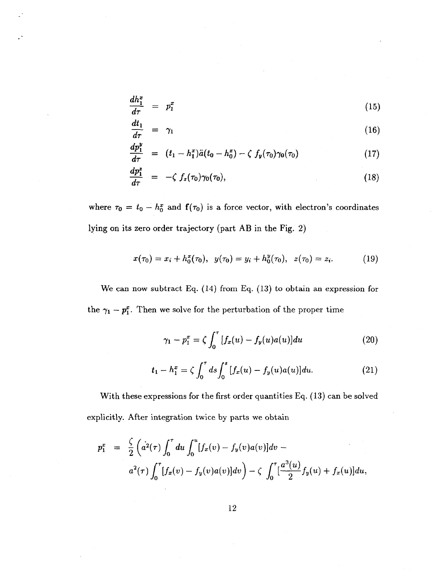$$
\frac{dh_1^x}{d\tau} = p_1^x \tag{15}
$$

$$
\frac{dt_1}{d\tau} = \gamma_1 \tag{16}
$$

$$
\frac{dp_1^y}{d\tau} = (t_1 - h_1^x)\ddot{a}(t_0 - h_0^x) - \zeta f_y(\tau_0)\gamma_0(\tau_0)
$$
\n(17)

$$
\frac{dp_1^z}{d\tau} = -\zeta f_z(\tau_0)\gamma_0(\tau_0),\tag{18}
$$

where  $\tau_0 = t_0 - h_0^x$  and  $\mathbf{f}(\tau_0)$  is a force vector, with electron's coordinates lying on its zero order trajectory (part AB in the Fig. 2)

$$
x(\tau_0) = x_i + h_0^x(\tau_0), \ \ y(\tau_0) = y_i + h_0^y(\tau_0), \ \ z(\tau_0) = z_i. \tag{19}
$$

We can now subtract Eq. (14) from Eq. (13) to obtain an expression for the  $\gamma_1 - p_1^x$ . Then we solve for the perturbation of the proper time

$$
\gamma_1 - p_1^x = \zeta \int_0^{\tau} [f_x(u) - f_y(u)a(u)] du \qquad (20)
$$

$$
t_1 - h_1^x = \zeta \int_0^{\tau} ds \int_0^s [f_x(u) - f_y(u)a(u)] du.
$$
 (21)

With these expressions for the first order quantities Eq. (13) can be solved explicitly. After integration twice by parts we obtain

$$
p_1^x = \frac{\zeta}{2} \left( \dot{a}^2(\tau) \int_0^{\tau} du \int_0^u [f_x(v) - f_y(v)a(v)] dv - a^2(\tau) \int_0^{\tau} [f_x(v) - f_y(v)a(v)] dv \right) - \zeta \int_0^{\tau} \left[ \frac{a^3(u)}{2} f_y(u) + f_x(u) \right] du,
$$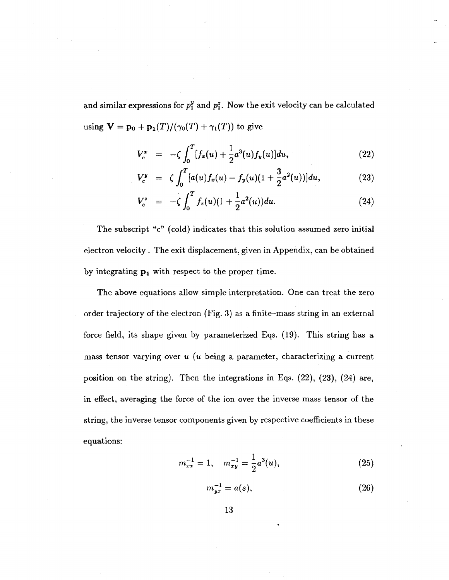and similar expressions for  $p_1^y$  and  $p_1^z$ . Now the exit velocity can be calculated using  $\mathbf{V} = \mathbf{p_0} + \mathbf{p_1}(T) / (\gamma_0(T) + \gamma_1(T))$  to give

$$
V_c^x = -\zeta \int_0^T [f_x(u) + \frac{1}{2}a^3(u)f_y(u)]du, \qquad (22)
$$

$$
V_c^y = \zeta \int_0^T [a(u)f_x(u) - f_y(u)(1 + \frac{3}{2}a^2(u))] du, \qquad (23)
$$

$$
V_c^z = -\zeta \int_0^T f_z(u)(1 + \frac{1}{2}a^2(u))du.
$$
 (24)

The subscript "c" (cold) indicates that this solution assumed zero initial electron velocity. The exit displacement, given in Appendix, can be obtained by integrating  $p_1$  with respect to the proper time.

The above equations allow simple interpretation. One can treat the zero order trajectory of the electron (Fig. 3) as a finite-mass string in an external force field, its shape given by parameterized Eqs.  $(19)$ . This string has a mass tensor varying over  $u$  ( $u$  being a parameter, characterizing a current position on the string). Then the integrations in Eqs. (22), (23), (24) are, in effect, averaging the force of the ion over the inverse mass tensor of the string, the inverse tensor components given by respective coefficients in these string, the inverse tensor components given by respective coefficients in these

$$
m_{xx}^{-1} = 1, \quad m_{xy}^{-1} = \frac{1}{2}a^3(u), \tag{25}
$$

$$
m_{yx}^{-1} = a(s),
$$
 (26)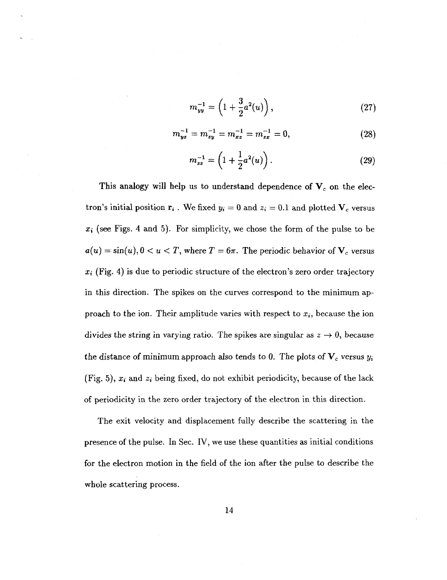$$
m_{yy}^{-1} = \left(1 + \frac{3}{2}a^2(u)\right),\tag{27}
$$

$$
m_{yz}^{-1} = m_{zy}^{-1} = m_{xz}^{-1} = m_{zx}^{-1} = 0,
$$
 (28)

$$
m_{zz}^{-1} = \left(1 + \frac{1}{2}a^2(u)\right). \tag{29}
$$

I has analogy will help us to understand dependence of  $V_c$  on the electron's initial position  $\mathbf{r}_i$  . We fixed  $y_i = 0$  and  $z_i = 0.1$  and plotted  $\mathbf{V}_c$  versus  $x_i$  (see Figs. 4 and 5). For simplicity, we chose the form of the pulse to be  $a(u) = \sin(u), 0 < u < T$ , where  $T = 6\pi$ . The periodic behavior of  $V_c$  versus *Xi* (Fig. 4) is due to periodic structure of the electron's zero order trajectory in this direction. The spikes on the curves correspond to the minimum approach to the ion. Their amplitude varies with respect to  $x_i$ , because the ion divides the string in varying ratio. The spikes are singular as  $z \to 0$ , because the distance of minimum approach also tends to  $0$ . The plots of  $\mathbf{V}_c$  versus  $y_i$ (Fig. 5),  $x_i$  and  $z_i$  being fixed, do not exhibit periodicity, because of the lack of periodicity in the zero order trajectory of the electron in this direction.

The exit velocity and displacement fully describe the scattering in the presence of the pulse. In Sec. IV, we use these quantities as initial conditions for the electron motion in the field of the ion after the pulse to describe the whole scattering process.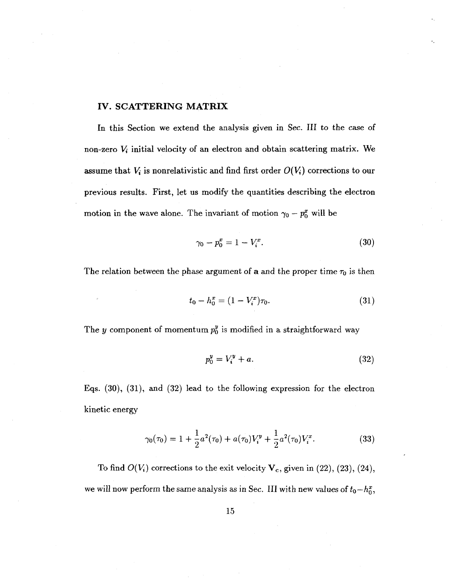#### **IV. SCATTERING MATRIX**

In this Section we extend the analysis given in Sec. Ill to the case of non-zero *Vi* initial velocity of an electron and obtain scattering matrix. We assume that  $V_i$  is nonrelativistic and find first order  $O(V_i)$  corrections to our previous results. First, let us modify the quantities describing the electron motion in the wave alone. The invariant of motion  $\gamma_0 - p_0^x$  will be

$$
\gamma_0 - p_0^x = 1 - V_i^x. \tag{30}
$$

The relation between the phase argument of a and the proper time  $\tau_0$  is then

$$
t_0 - h_0^x = (1 - V_i^x)\tau_0. \tag{31}
$$

The *y* component of momentum  $p_0^y$  is modified in a straightforward way

$$
p_0^y = V_i^y + a. \tag{32}
$$

Eqs. (30), (31), and (32) lead to the following expression for the electron kinetic energy

$$
\gamma_0(\tau_0) = 1 + \frac{1}{2}a^2(\tau_0) + a(\tau_0)V_i^y + \frac{1}{2}a^2(\tau_0)V_i^x.
$$
 (33)

To find  $O(V_i)$  corrections to the exit velocity  $V_c$ , given in (22), (23), (24), we will now perform the same analysis as in Sec. III with new values of  $t_0-h^x_0$ ,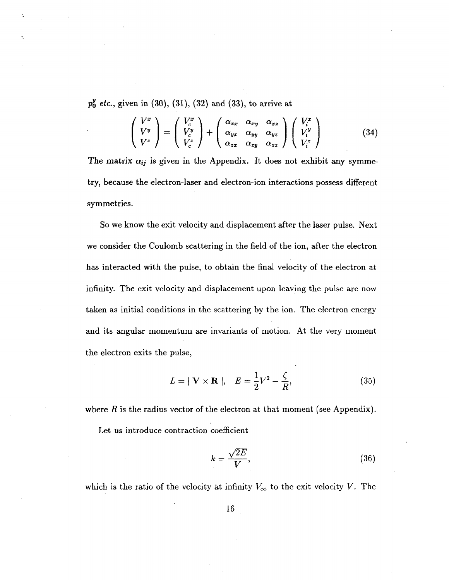*pi etc.,* given in (30), (31), (32) and (33), to arrive at

$$
\begin{pmatrix} V^x \\ V^y \\ V^z \end{pmatrix} = \begin{pmatrix} V^x_c \\ V^y_c \\ V^z_c \end{pmatrix} + \begin{pmatrix} \alpha_{xx} & \alpha_{xy} & \alpha_{xz} \\ \alpha_{yx} & \alpha_{yy} & \alpha_{yz} \\ \alpha_{zx} & \alpha_{zy} & \alpha_{zz} \end{pmatrix} \begin{pmatrix} V^x_i \\ V^y_i \\ V^z_i \end{pmatrix}
$$
(34)

The matrix  $\alpha_{ij}$  is given in the Appendix. It does not exhibit any symmetry, because the electron-laser and electron-ion interactions possess different symmetries.

So we know the exit velocity and displacement after the laser pulse. Next we consider the Coulomb scattering in the field of the ion, after the electron has interacted with the pulse, to obtain the final velocity of the electron at infinity. The exit velocity and displacement upon leaving the pulse are now taken as initial conditions in the scattering by the ion. The electron energy and its angular momentum are invariants of motion. At the very moment the electron exits the pulse,

$$
L = |\mathbf{V} \times \mathbf{R}|, \quad E = \frac{1}{2}V^2 - \frac{\zeta}{R}, \tag{35}
$$

where  $R$  is the radius vector of the electron at that moment (see Appendix).

Let us introduce contraction coefficient

$$
k = \frac{\sqrt{2E}}{V},\tag{36}
$$

which is the ratio of the velocity at infinity  $V_{\infty}$  to the exit velocity *V*. The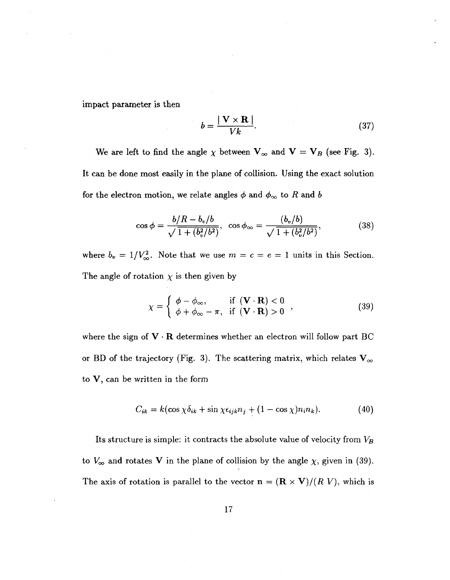impact parameter is then

$$
b = \frac{|\mathbf{V} \times \mathbf{R}|}{Vk}.
$$
 (37)

We are left to find the angle  $\chi$  between  $V_{\infty}$  and  $V = V_B$  (see Fig. 3). It can be done most easily in the plane of collision. Using the exact solution for the electron motion, we relate angles  $\phi$  and  $\phi_{\infty}$  to R and *b* 

$$
\cos \phi = \frac{b/R - b_v/b}{\sqrt{1 + (b_v^2/b^2)}}, \quad \cos \phi_{\infty} = \frac{(b_v/b)}{\sqrt{1 + (b_v^2/b^2)}}, \tag{38}
$$

where  $b_v = 1/V^2_{\infty}$ . Note that we use  $m = c = e = 1$  units in this Section. The angle of rotation  $\chi$  is then given by

$$
\chi = \begin{cases} \phi - \phi_{\infty}, & \text{if } (\mathbf{V} \cdot \mathbf{R}) < 0 \\ \phi + \phi_{\infty} - \pi, & \text{if } (\mathbf{V} \cdot \mathbf{R}) > 0 \end{cases},
$$
(39)

where the sign of  $V \cdot R$  determines whether an electron will follow part BC or BD of the trajectory (Fig. 3). The scattering matrix, which relates  $V_{\infty}$ to V, can be written in the form

$$
C_{ik} = k(\cos\chi\delta_{ik} + \sin\chi\epsilon_{ijk}n_j + (1 - \cos\chi)n_i n_k). \tag{40}
$$

Its structure is simple: it contracts the absolute value of velocity from *VB*  to  $V_\infty$  and rotates V in the plane of collision by the angle  $\chi$ , given in (39). The axis of rotation is parallel to the vector  $\mathbf{n} = (\mathbf{R} \times \mathbf{V})/(R V)$ , which is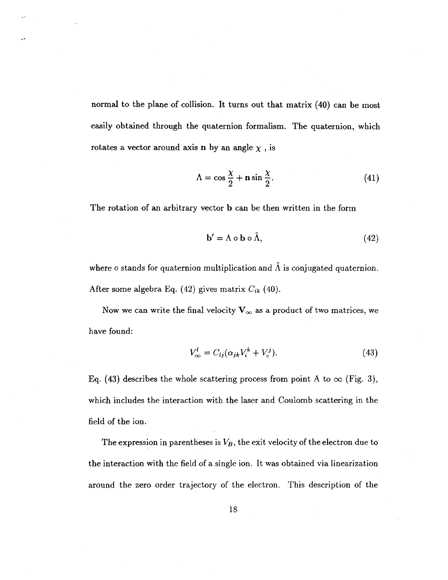normal to the plane of collision. It turns out that matrix (40) can be most easily obtained through the quaternion formalism. The quaternion, which rotates a vector around axis **n** by an angle  $\chi$  , is

$$
\Lambda = \cos\frac{\chi}{2} + n\sin\frac{\chi}{2}.\tag{41}
$$

The rotation of an arbitrary vector b can be then written in the form

$$
\mathbf{b}' = \Lambda \circ \mathbf{b} \circ \tilde{\Lambda},\tag{42}
$$

where o stands for quaternion multiplication and  $\tilde{\Lambda}$  is conjugated quaternion. After some algebra Eq. (42) gives matrix *Cik* (40).

Now we can write the final velocity  $V_\infty$  as a product of two matrices, we have found:

$$
V_{\infty}^{l} = C_{lj}(\alpha_{jk}V_{i}^{k} + V_{c}^{j}).
$$
\n(43)

Eq. (43) describes the whole scattering process from point A to  $\infty$  (Fig. 3), which includes the interaction with the laser and Coulomb scattering in the field of the ion.

The expression in parentheses is  $V_B$ , the exit velocity of the electron due to the interaction with the field of a single ion. It was obtained via linearization around the zero order trajectory of the electron. This description of the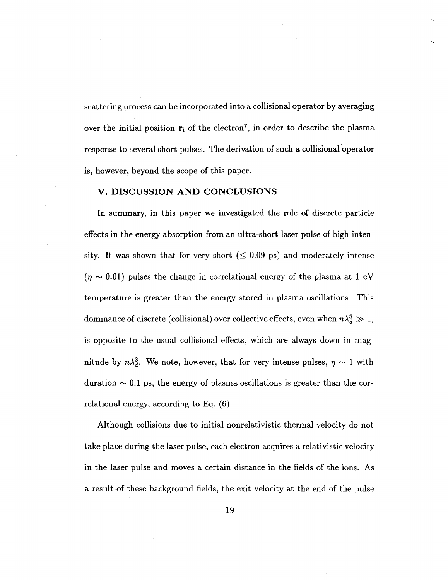scattering process can be incorporated into a collisional operator by averaging over the initial position  $r_i$  of the electron<sup>7</sup>, in order to describe the plasma response to several short pulses. The derivation of such a collisional operator is, however, beyond the scope of this paper.

#### V. DISCUSSION AND CONCLUSIONS

In summary, in this paper we investigated the role of discrete particle effects in the energy absorption from an ultra-short laser pulse of high intensity. It was shown that for very short  $( \leq 0.09 \text{ ps})$  and moderately intense  $(\eta \sim 0.01)$  pulses the change in correlational energy of the plasma at 1 eV temperature is greater than the energy stored in plasma oscillations. This dominance of discrete (collisional) over collective effects, even when  $n\lambda_d^3 \gg 1$ , is opposite to the usual collisional effects, which are always down in magnitude by  $n\lambda_d^3$ . We note, however, that for very intense pulses,  $\eta \sim 1$  with duration  $\sim$  0.1 ps, the energy of plasma oscillations is greater than the correlational energy, according to Eq. (6).

Although collisions due to initial nonrelativistic thermal velocity do not take place during the laser pulse, each electron acquires a relativistic velocity in the laser pulse and moves a certain distance in the fields of the ions. As a result of these background fields, the exit velocity at the end of the pulse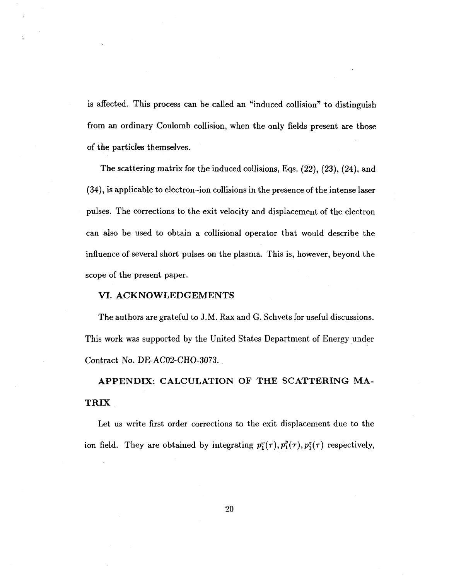is affected. This process can be called an "induced collision" to distinguish from an ordinary Coulomb collision, when the only fields present are those of the particles themselves.

The scattering matrix for the induced collisions, Eqs. (22), (23), (24), and (34), is applicable to electron-ion collisions in the presence of the intense laser pulses. The corrections to the exit velocity and displacement of the electron can also be used to obtain a collisional operator that would describe the influence of several short pulses on the plasma. This is, however, beyond the scope of the present paper.

#### **VI. ACKNOWLEDGEMENTS**

The authors are grateful to J.M. Rax and G. Schvets for useful discussions. This work was supported by the United States Department of Energy under Contract No. DE-AC02-CHO-3073.

**APPENDIX: CALCULATION OF THE SCATTERING MA-TRIX** 

Let us write first order corrections to the exit displacement due to the ion field. They are obtained by integrating  $p_1^x(\tau), p_1^y(\tau), p_1^z(\tau)$  respectively,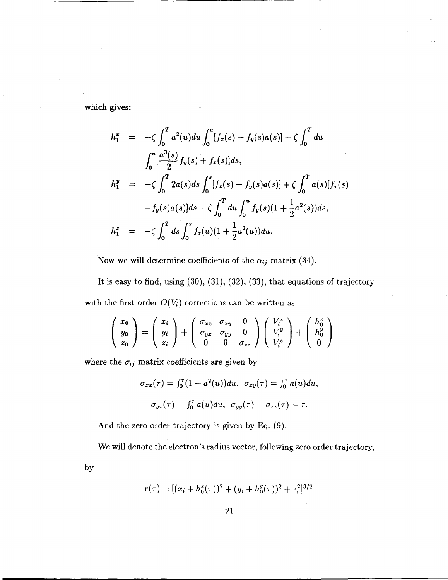which gives:

$$
h_1^x = -\zeta \int_0^T a^2(u) du \int_0^u [f_x(s) - f_y(s)a(s)] - \zeta \int_0^T du
$$
  

$$
\int_0^u [\frac{a^3(s)}{2} f_y(s) + f_x(s)] ds,
$$
  

$$
h_1^y = -\zeta \int_0^T 2a(s) ds \int_0^s [f_x(s) - f_y(s)a(s)] + \zeta \int_0^T a(s) [f_x(s) - f_y(s)a(s)] ds - \zeta \int_0^T du \int_0^u f_y(s) (1 + \frac{1}{2} a^2(s)) ds,
$$
  

$$
h_1^z = -\zeta \int_0^T ds \int_0^s f_z(u) (1 + \frac{1}{2} a^2(u)) du.
$$

Now we will determine coefficients of the  $\alpha_{ij}$  matrix (34).

It is easy to find, using (30), (31), (32), (33), that equations of trajectory with the first order  $O(V_i)$  corrections can be written as

$$
\left(\begin{array}{c}\nx_0 \\
y_0 \\
z_0\n\end{array}\right) = \left(\begin{array}{c}\nx_i \\
y_i \\
z_i\n\end{array}\right) + \left(\begin{array}{ccc}\n\sigma_{xx} & \sigma_{xy} & 0 \\
\sigma_{yx} & \sigma_{yy} & 0 \\
0 & 0 & \sigma_{zz}\n\end{array}\right) \left(\begin{array}{c}\nV_i^x \\
V_i^y \\
V_i^z\n\end{array}\right) + \left(\begin{array}{c}\nh_0^x \\
h_0^y \\
0\n\end{array}\right)
$$

where the  $\sigma_{ij}$  matrix coefficients are given by

$$
\sigma_{xx}(\tau) = \int_0^{\tau} (1 + a^2(u)) du, \ \sigma_{xy}(\tau) = \int_0^{\tau} a(u) du,
$$
  

$$
\sigma_{yx}(\tau) = \int_0^{\tau} a(u) du, \ \sigma_{yy}(\tau) = \sigma_{zz}(\tau) = \tau.
$$

And the zero order trajectory is given by Eq. (9).

We will denote the electron's radius vector, following zero order trajectory,

by

$$
r(\tau) = [(x_i + h_0^x(\tau))^2 + (y_i + h_0^y(\tau))^2 + z_i^2]^{3/2}.
$$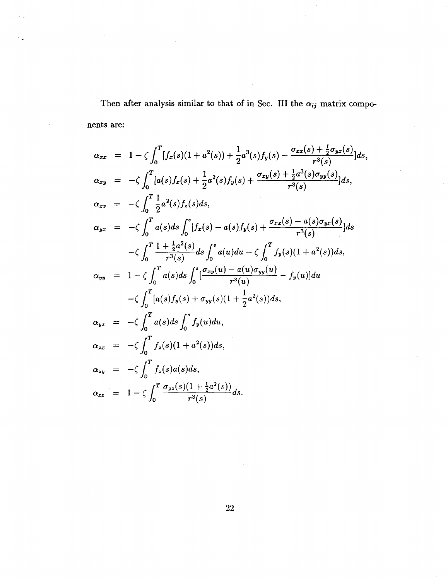Then after analysis similar to that of in Sec. III the  $\alpha_{ij}$  matrix components are:

$$
\alpha_{xx} = 1 - \zeta \int_{0}^{T} [f_{x}(s)(1 + a^{2}(s)) + \frac{1}{2}a^{3}(s)f_{y}(s) - \frac{\sigma_{xx}(s) + \frac{1}{2}\sigma_{yx}(s)}{r^{3}(s)}]ds,\n\alpha_{xy} = -\zeta \int_{0}^{T} [a(s)f_{x}(s) + \frac{1}{2}a^{2}(s)f_{y}(s) + \frac{\sigma_{xy}(s) + \frac{1}{2}a^{3}(s)\sigma_{yy}(s)}{r^{3}(s)}]ds,\n\alpha_{xz} = -\zeta \int_{0}^{T} \frac{1}{2}a^{2}(s)f_{z}(s)ds,\n\alpha_{yx} = -\zeta \int_{0}^{T} a(s)ds \int_{0}^{s} [f_{x}(s) - a(s)f_{y}(s) + \frac{\sigma_{xx}(s) - a(s)\sigma_{yx}(s)}{r^{3}(s)}]ds\n-\zeta \int_{0}^{T} \frac{1 + \frac{1}{2}a^{2}(s)}{r^{3}(s)}ds \int_{0}^{s} a(u)du - \zeta \int_{0}^{T} f_{y}(s)(1 + a^{2}(s))ds,\n\alpha_{yy} = 1 - \zeta \int_{0}^{T} a(s)ds \int_{0}^{s} [\frac{\sigma_{xy}(u) - a(u)\sigma_{yy}(u)}{r^{3}(u)} - f_{y}(u)]du\n-\zeta \int_{0}^{T} [a(s)f_{y}(s) + \sigma_{yy}(s)(1 + \frac{1}{2}a^{2}(s))ds,\n\alpha_{yz} = -\zeta \int_{0}^{T} f_{z}(s)(1 + a^{2}(s))ds,\n\alpha_{zx} = -\zeta \int_{0}^{T} f_{z}(s)(1 + a^{2}(s))ds,\n\alpha_{zx} = -\zeta \int_{0}^{T} f_{z}(s)a(s)ds,\n\alpha_{zz} = 1 - \zeta \int_{0}^{T} \frac{\sigma_{zz}(s)(1 + \frac{1}{2}a^{2}(s))}{r^{3}(s)}ds.
$$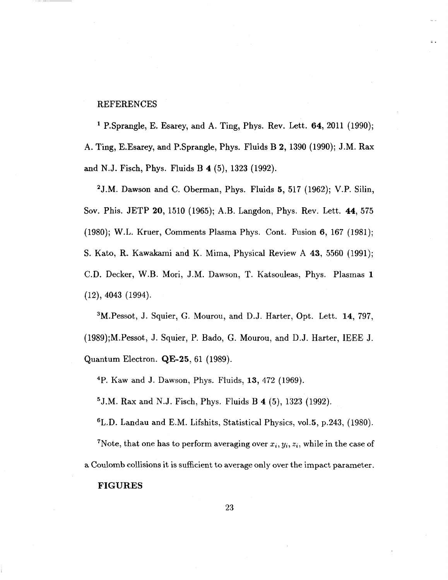#### REFERENCES

<sup>1</sup> P.Sprangle, E. Esarey, and A. Ting, Phys. Rev. Lett. **64**, 2011 (1990); A. Ting, E.Esarey, and P.Sprangle, Phys. Fluids B 2, 1390 (1990); J.M. Rax and N.J. Fisch, Phys. Fluids B 4 (5), 1323 (1992).

2 J.M. Dawson and C. Oberman, Phys. Fluids 5, 517 (1962); V.P. Silin, Sov. Phis. JETP 20, 1510 (1965); A.B. Langdon, Phys. Rev. Lett. 44, 575 (1980); W.L. Kruer, Comments Plasma Phys. Cont. Fusion 6, 167 (1981); S. Kato, R. Kawakami and K. Mima, Physical Review A 43, 5560 (1991); CD. Decker, W.B. Mori, J.M. Dawson, T. Katsouleas, Phys. Plasmas 1 (12), 4043 (1994).

<sup>3</sup>M.Pessot, J. Squier, G. Mourou, and D.J. Harter, Opt. Lett. 14, 797, (1989);M.Pessot, J. Squier, P. Bado, G. Mourou, and D.J. Harter, IEEE J. Quantum Electron. **QE-25,** 61 (1989).

4 P. Kaw and J. Dawson, Phys. Fluids, 13, 472 (1969).

5 J.M. Rax and N.J. Fisch, Phys. Fluids B 4 (5), 1323 (1992).

<sup>6</sup>L.D. Landau and E.M. Lifshits, Statistical Physics, vol.5, p.243, (1980). 7Note, that one has to perform averaging over  $x_i, y_i, z_i$ , while in the case of a Coulomb collisions it is sufficient to average only over the impact parameter. **FIGURES**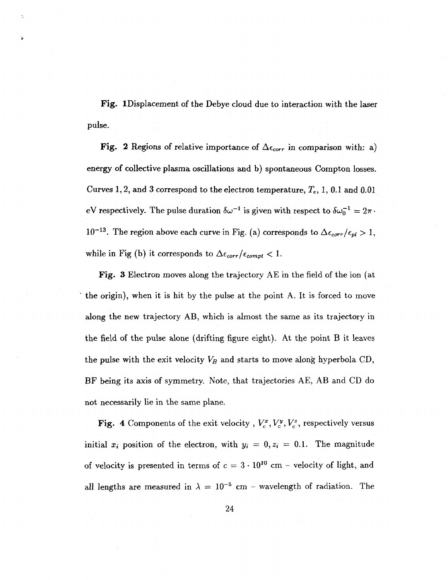**Fig.** 1 Displacement of the Debye cloud due to interaction with the laser pulse.

÷

**Fig.** 2 Regions of relative importance of  $\Delta \epsilon_{corr}$  in comparison with: a) energy of collective plasma oscillations and b) spontaneous Compton losses. Curves 1, 2, and 3 correspond to the electron temperature,  $T_e$ , 1, 0.1 and 0.01 eV respectively. The pulse duration  $\delta\omega^{-1}$  is given with respect to  $\delta\omega_0^{-1} = 2\pi$ . 10<sup>-13</sup>. The region above each curve in Fig. (a) corresponds to  $\Delta \epsilon_{corr}/\epsilon_{pl} > 1$ , while in Fig (b) it corresponds to  $\Delta \epsilon_{corr}/\epsilon_{compt} < 1$ .

**Fig.** 3 Electron moves along the trajectory AE in the field of the ion (at the origin), when it is hit by the pulse at the point A. It is forced to move along the new trajectory AB, which is almost the same as its trajectory in the field of the pulse alone (drifting figure eight). At the point B it leaves the pulse with the exit velocity  $V_B$  and starts to move along hyperbola CD, BF being its axis of symmetry. Note, that trajectories AE, AB and CD do not necessarily lie in the same plane.

**Fig.** 4 Components of the exit velocity,  $V_c^x$ ,  $V_c^y$ ,  $V_c^z$ , respectively versus initial  $x_i$  position of the electron, with  $y_i = 0, z_i = 0.1$ . The magnitude of velocity is presented in terms of  $c = 3 \cdot 10^{10}$  cm – velocity of light, and all lengths are measured in  $\lambda = 10^{-5}$  cm – wavelength of radiation. The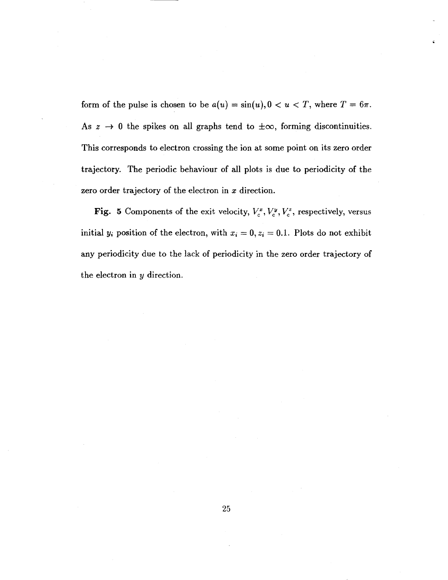form of the pulse is chosen to be  $a(u) = \sin(u)$ ,  $0 < u < T$ , where  $T = 6\pi$ . As  $z \rightarrow 0$  the spikes on all graphs tend to  $\pm \infty$ , forming discontinuities. This corresponds to electron crossing the ion at some point on its zero order trajectory. The periodic behaviour of all plots is due to periodicity of the zero order trajectory of the electron in *x* direction.

**Fig. 5** Components of the exit velocity,  $V_c^x$ ,  $V_c^y$ ,  $V_c^z$ , respectively, versus initial  $y_i$  position of the electron, with  $x_i = 0, z_i = 0.1$ . Plots do not exhibit any periodicity due to the lack of periodicity in the zero order trajectory of the electron in *y* direction.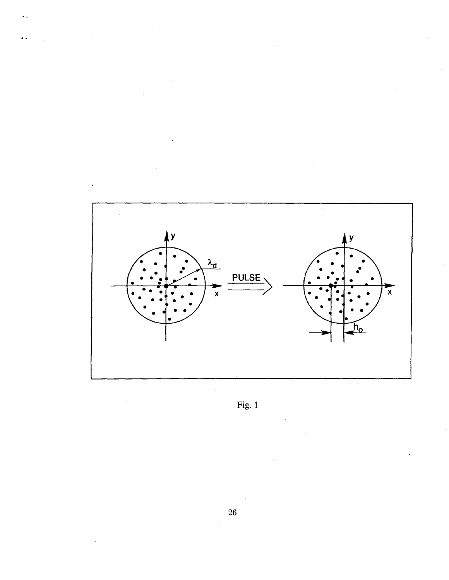

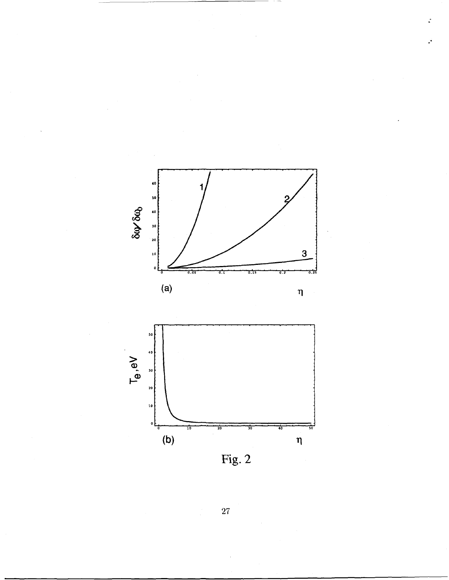



**27**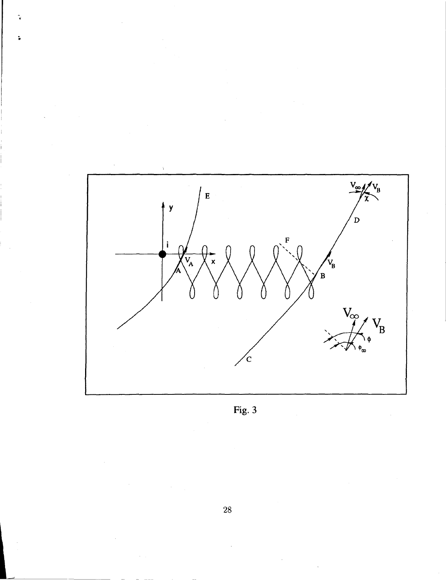

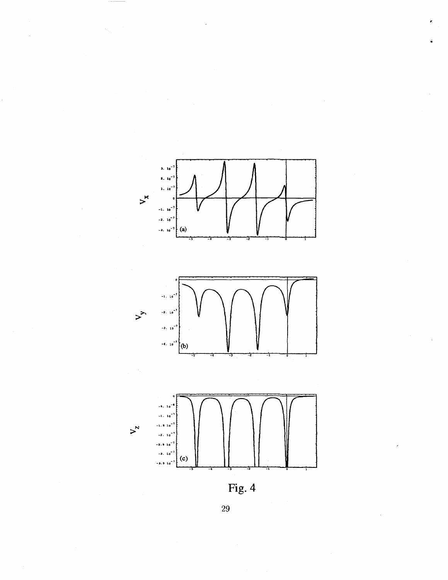





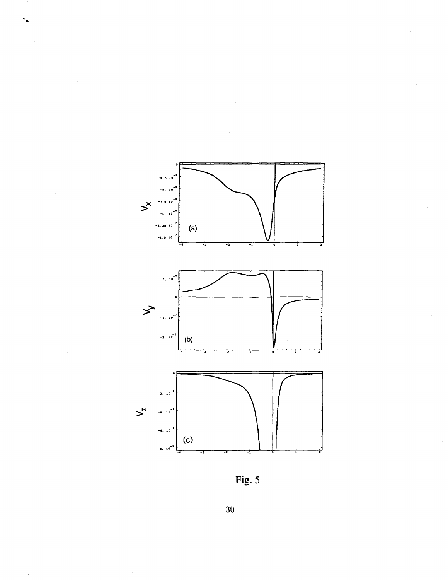

Fig. 5

÷,

**30**